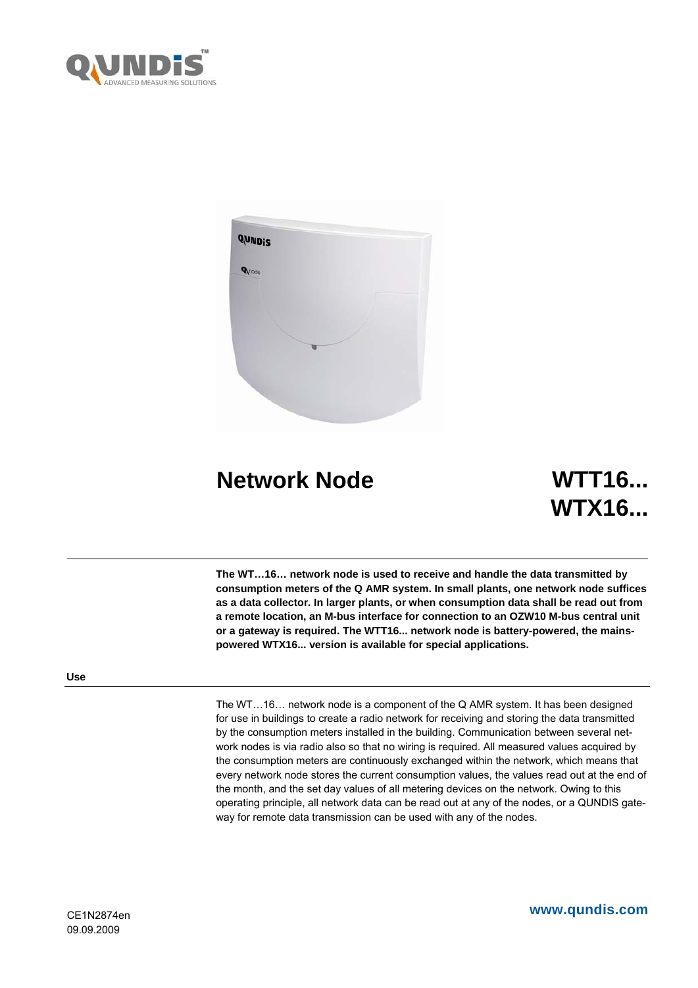



# **Network Node WTT16...**

# **WTX16...**

**The WT…16… network node is used to receive and handle the data transmitted by consumption meters of the Q AMR system. In small plants, one network node suffices as a data collector. In larger plants, or when consumption data shall be read out from a remote location, an M-bus interface for connection to an OZW10 M-bus central unit or a gateway is required. The WTT16... network node is battery-powered, the mainspowered WTX16... version is available for special applications.** 

# **Use**

The WT…16… network node is a component of the Q AMR system. It has been designed for use in buildings to create a radio network for receiving and storing the data transmitted by the consumption meters installed in the building. Communication between several network nodes is via radio also so that no wiring is required. All measured values acquired by the consumption meters are continuously exchanged within the network, which means that every network node stores the current consumption values, the values read out at the end of the month, and the set day values of all metering devices on the network. Owing to this operating principle, all network data can be read out at any of the nodes, or a QUNDIS gateway for remote data transmission can be used with any of the nodes.

**www.qundis.com**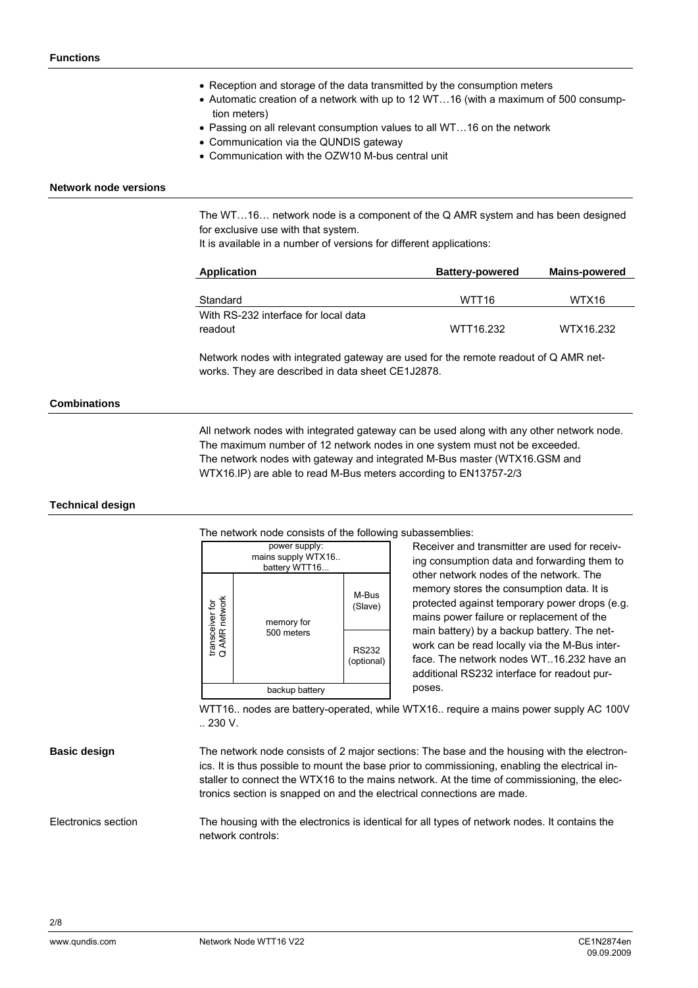- Reception and storage of the data transmitted by the consumption meters
- Automatic creation of a network with up to 12 WT…16 (with a maximum of 500 consumption meters)
- Passing on all relevant consumption values to all WT…16 on the network
- Communication via the QUNDIS gateway
- Communication with the OZW10 M-bus central unit

#### **Network node versions**

The WT…16… network node is a component of the Q AMR system and has been designed for exclusive use with that system.

It is available in a number of versions for different applications:

| Application                          | <b>Battery-powered</b> | <b>Mains-powered</b> |
|--------------------------------------|------------------------|----------------------|
|                                      |                        |                      |
| Standard                             | WTT <sub>16</sub>      | WTX16                |
| With RS-232 interface for local data |                        |                      |
| readout                              | WTT16.232              | WTX16.232            |

Network nodes with integrated gateway are used for the remote readout of Q AMR networks. They are described in data sheet CE1J2878.

# **Combinations**

All network nodes with integrated gateway can be used along with any other network node. The maximum number of 12 network nodes in one system must not be exceeded. The network nodes with gateway and integrated M-Bus master (WTX16.GSM and WTX16.IP) are able to read M-Bus meters according to EN13757-2/3

#### **Technical design**

The network node consists of the following subassemblies:



Receiver and transmitter are used for receiving consumption data and forwarding them to other network nodes of the network. The memory stores the consumption data. It is protected against temporary power drops (e.g. mains power failure or replacement of the main battery) by a backup battery. The network can be read locally via the M-Bus interface. The network nodes WT..16.232 have an additional RS232 interface for readout purposes.

WTT16.. nodes are battery-operated, while WTX16.. require a mains power supply AC 100V .. 230 V.

#### **Basic design**

The network node consists of 2 major sections: The base and the housing with the electronics. It is thus possible to mount the base prior to commissioning, enabling the electrical installer to connect the WTX16 to the mains network. At the time of commissioning, the electronics section is snapped on and the electrical connections are made.

The housing with the electronics is identical for all types of network nodes. It contains the network controls: Electronics section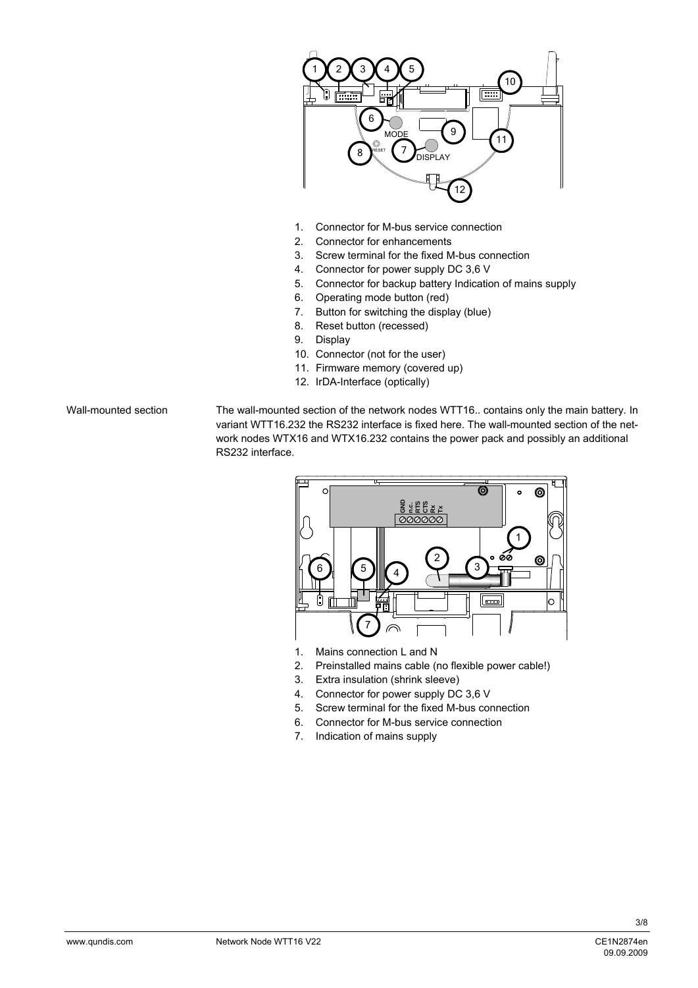

- 1. Connector for M-bus service connection
- 2. Connector for enhancements
- 3. Screw terminal for the fixed M-bus connection
- 4. Connector for power supply DC 3,6 V
- 5. Connector for backup battery Indication of mains supply
- 6. Operating mode button (red)
- 7. Button for switching the display (blue)
- 8. Reset button (recessed)
- 9. Display
- 10. Connector (not for the user)
- 11. Firmware memory (covered up)
- 12. IrDA-Interface (optically)

Wall-mounted section

The wall-mounted section of the network nodes WTT16.. contains only the main battery. In variant WTT16.232 the RS232 interface is fixed here. The wall-mounted section of the network nodes WTX16 and WTX16.232 contains the power pack and possibly an additional RS232 interface.



- 1. Mains connection L and N
- 2. Preinstalled mains cable (no flexible power cable!)
- 3. Extra insulation (shrink sleeve)
- 4. Connector for power supply DC 3,6 V
- 5. Screw terminal for the fixed M-bus connection
- 6. Connector for M-bus service connection
- 7. Indication of mains supply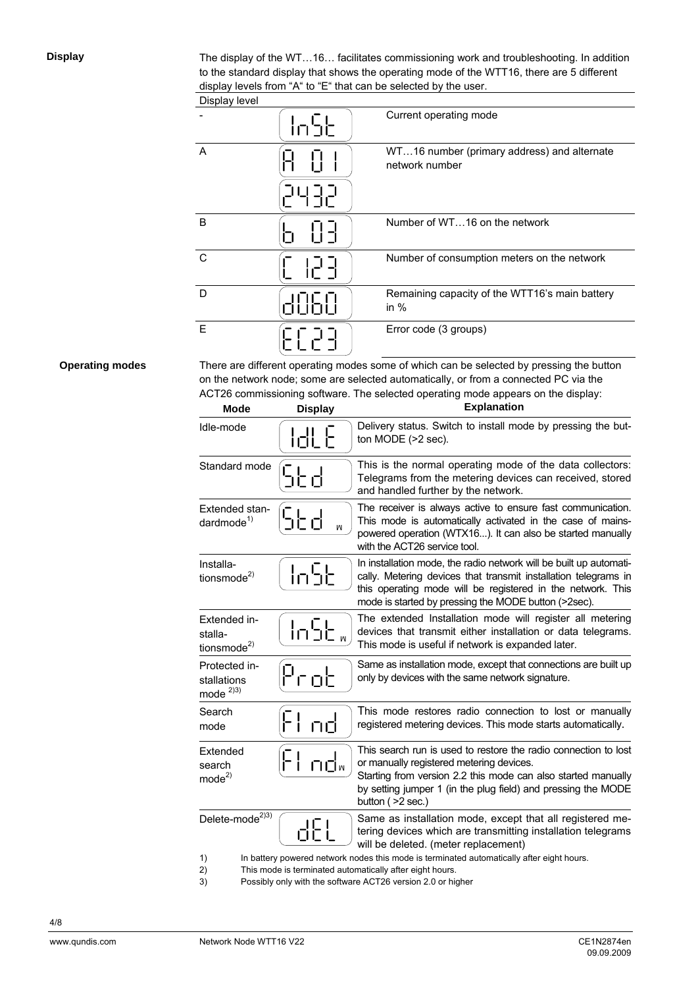**Display** 

The display of the WT…16… facilitates commissioning work and troubleshooting. In addition to the standard display that shows the operating mode of the WTT16, there are 5 different display levels from "A" to "E" that can be selected by the user.

|  | Display level |
|--|---------------|
|  |               |

| <b>Display igvor</b> |              |                                                               |
|----------------------|--------------|---------------------------------------------------------------|
|                      | <u>ור חו</u> | Current operating mode                                        |
| $\overline{A}$       |              | WT16 number (primary address) and alternate<br>network number |
|                      |              |                                                               |
| B                    |              | Number of WT16 on the network                                 |
| C                    |              | Number of consumption meters on the network                   |
| D                    |              | Remaining capacity of the WTT16's main battery<br>in $%$      |
| E                    |              | Error code (3 groups)                                         |

# **Operating modes**

There are different operating modes some of which can be selected by pressing the button on the network node; some are selected automatically, or from a connected PC via the ACT26 commissioning software. The selected operating mode appears on the display:

| <b>Mode</b>                                        | <b>Display</b> | <b>Explanation</b>                                                                                                                                                                                                                                                   |
|----------------------------------------------------|----------------|----------------------------------------------------------------------------------------------------------------------------------------------------------------------------------------------------------------------------------------------------------------------|
| Idle-mode                                          | <u> Idl E</u>  | Delivery status. Switch to install mode by pressing the but-<br>ton MODE (>2 sec).                                                                                                                                                                                   |
| Standard mode                                      | SŁd            | This is the normal operating mode of the data collectors:<br>Telegrams from the metering devices can received, stored<br>and handled further by the network.                                                                                                         |
| Extended stan-<br>dardmode $1$                     | 5Ŀd<br>W       | The receiver is always active to ensure fast communication.<br>This mode is automatically activated in the case of mains-<br>powered operation (WTX16). It can also be started manually<br>with the ACT26 service tool.                                              |
| Installa-<br>tionsmode <sup>2)</sup>               | ln5t           | In installation mode, the radio network will be built up automati-<br>cally. Metering devices that transmit installation telegrams in<br>this operating mode will be registered in the network. This<br>mode is started by pressing the MODE button (>2sec).         |
| Extended in-<br>stalla-<br>tionsmode <sup>2)</sup> | ln5e           | The extended Installation mode will register all metering<br>devices that transmit either installation or data telegrams.<br>This mode is useful if network is expanded later.                                                                                       |
| Protected in-<br>stallations<br>mode $^{2)3)}$     | Prob           | Same as installation mode, except that connections are built up<br>only by devices with the same network signature.                                                                                                                                                  |
| Search<br>mode                                     | Flod           | This mode restores radio connection to lost or manually<br>registered metering devices. This mode starts automatically.                                                                                                                                              |
| Extended<br>search<br>mode <sup>2</sup>            | ┠╿             | This search run is used to restore the radio connection to lost<br>or manually registered metering devices.<br>Starting from version 2.2 this mode can also started manually<br>by setting jumper 1 (in the plug field) and pressing the MODE<br>button $($ >2 sec.) |
| Delete-mode <sup>2)3)</sup>                        | dEL            | Same as installation mode, except that all registered me-<br>tering devices which are transmitting installation telegrams<br>will be deleted. (meter replacement)                                                                                                    |
| 1)                                                 |                | In battery powered network nodes this mode is terminated automatically after eight hours.                                                                                                                                                                            |

2) This mode is terminated automatically after eight hours.

3) Possibly only with the software ACT26 version 2.0 or higher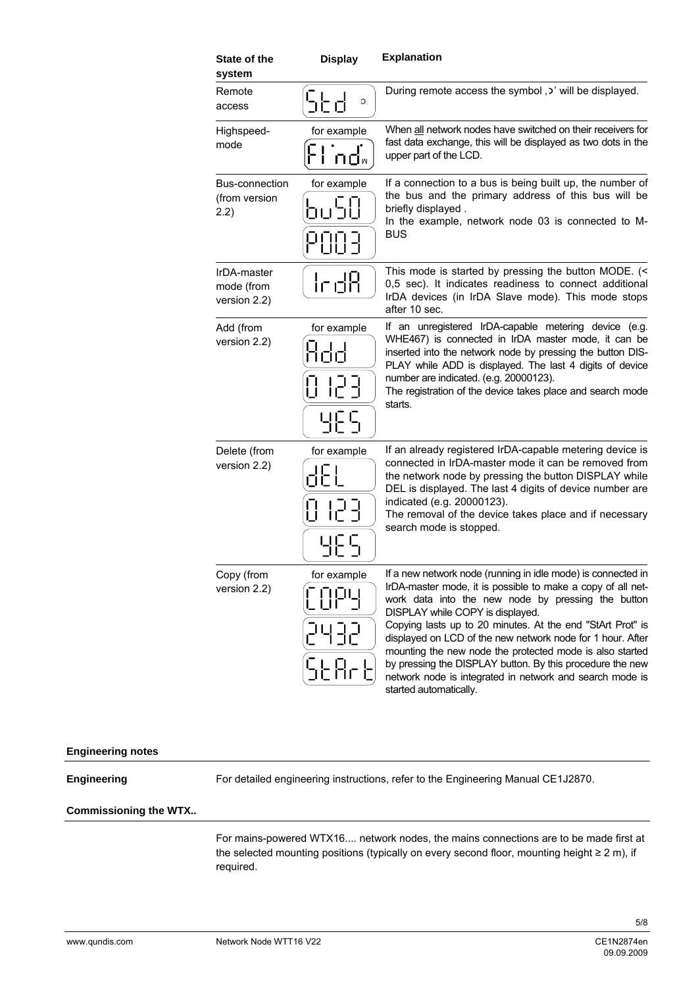| State of the<br>system                         | <b>Display</b>                              | <b>Explanation</b>                                                                                                                                                                                                                                                                                                                                                                                                                                                                                                                                               |
|------------------------------------------------|---------------------------------------------|------------------------------------------------------------------------------------------------------------------------------------------------------------------------------------------------------------------------------------------------------------------------------------------------------------------------------------------------------------------------------------------------------------------------------------------------------------------------------------------------------------------------------------------------------------------|
| Remote<br>access                               | らとす<br>C                                    | During remote access the symbol, $\cdot$ will be displayed.                                                                                                                                                                                                                                                                                                                                                                                                                                                                                                      |
| Highspeed-<br>mode                             | for example<br>口口⋈                          | When all network nodes have switched on their receivers for<br>fast data exchange, this will be displayed as two dots in the<br>upper part of the LCD.                                                                                                                                                                                                                                                                                                                                                                                                           |
| <b>Bus-connection</b><br>(from version<br>2.2) | for example<br>הים<br>נוכעת<br>POOR         | If a connection to a bus is being built up, the number of<br>the bus and the primary address of this bus will be<br>briefly displayed.<br>In the example, network node 03 is connected to M-<br><b>BUS</b>                                                                                                                                                                                                                                                                                                                                                       |
| IrDA-master<br>mode (from<br>version 2.2)      | lrd8                                        | This mode is started by pressing the button MODE. (<<br>0,5 sec). It indicates readiness to connect additional<br>IrDA devices (in IrDA Slave mode). This mode stops<br>after 10 sec.                                                                                                                                                                                                                                                                                                                                                                            |
| Add (from<br>version 2.2)                      | for example<br>hod<br>0 123<br><u> 남편</u> 도 | If an unregistered IrDA-capable metering device (e.g.<br>WHE467) is connected in IrDA master mode, it can be<br>inserted into the network node by pressing the button DIS-<br>PLAY while ADD is displayed. The last 4 digits of device<br>number are indicated. (e.g. 20000123).<br>The registration of the device takes place and search mode<br>starts.                                                                                                                                                                                                        |
| Delete (from<br>version 2.2)                   | for example<br>8 123<br><u> 내년</u> 도        | If an already registered IrDA-capable metering device is<br>connected in IrDA-master mode it can be removed from<br>the network node by pressing the button DISPLAY while<br>DEL is displayed. The last 4 digits of device number are<br>indicated (e.g. 20000123).<br>The removal of the device takes place and if necessary<br>search mode is stopped.                                                                                                                                                                                                         |
| Copy (from<br>version 2.2)                     | for example<br>2432<br><u> ՏԵԶոԵ</u>        | If a new network node (running in idle mode) is connected in<br>IrDA-master mode, it is possible to make a copy of all net-<br>work data into the new node by pressing the button<br>DISPLAY while COPY is displayed.<br>Copying lasts up to 20 minutes. At the end "StArt Prot" is<br>displayed on LCD of the new network node for 1 hour. After<br>mounting the new node the protected mode is also started<br>by pressing the DISPLAY button. By this procedure the new<br>network node is integrated in network and search mode is<br>started automatically. |

# **Engineering notes**

# **Engineering**

For detailed engineering instructions, refer to the Engineering Manual CE1J2870.

#### **Commissioning the WTX..**

For mains-powered WTX16.... network nodes, the mains connections are to be made first at the selected mounting positions (typically on every second floor, mounting height ≥ 2 m), if required.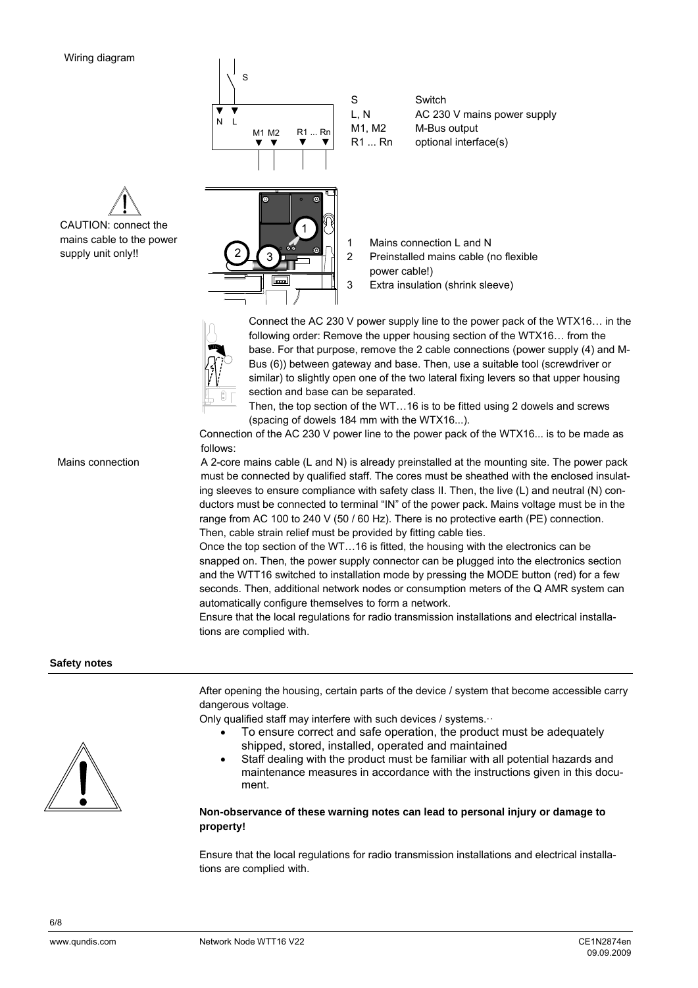CAUTION: connect the mains cable to the power supply unit only!!

| S                         | S                       | Switch                                                            |
|---------------------------|-------------------------|-------------------------------------------------------------------|
| N                         | L, N                    | AC 230 V mains power supply                                       |
| R1  Rn                    | M1, M2                  | M-Bus output                                                      |
| M1 M2                     | R1Rn                    | optional interface(s)                                             |
| $\circ$<br>ØØ.<br>$\circ$ | 1<br>2<br>power cable!) | Mains connection L and N<br>Preinstalled mains cable (no flexible |

 $\frac{1}{2}$   $\frac{1}{2}$   $\frac{1}{2}$  3 Extra insulation (shrink sleeve)



 $\mathbf{L}$  $\sim 1$ 

> Connect the AC 230 V power supply line to the power pack of the WTX16… in the following order: Remove the upper housing section of the WTX16… from the base. For that purpose, remove the 2 cable connections (power supply (4) and M-Bus (6)) between gateway and base. Then, use a suitable tool (screwdriver or similar) to slightly open one of the two lateral fixing levers so that upper housing section and base can be separated.

Then, the top section of the WT…16 is to be fitted using 2 dowels and screws (spacing of dowels 184 mm with the WTX16...).

Connection of the AC 230 V power line to the power pack of the WTX16... is to be made as follows:

A 2-core mains cable (L and N) is already preinstalled at the mounting site. The power pack must be connected by qualified staff. The cores must be sheathed with the enclosed insulating sleeves to ensure compliance with safety class II. Then, the live (L) and neutral (N) conductors must be connected to terminal "IN" of the power pack. Mains voltage must be in the range from AC 100 to 240 V (50 / 60 Hz). There is no protective earth (PE) connection. Then, cable strain relief must be provided by fitting cable ties.

Once the top section of the WT…16 is fitted, the housing with the electronics can be snapped on. Then, the power supply connector can be plugged into the electronics section and the WTT16 switched to installation mode by pressing the MODE button (red) for a few seconds. Then, additional network nodes or consumption meters of the Q AMR system can automatically configure themselves to form a network.

Ensure that the local regulations for radio transmission installations and electrical installations are complied with.

# **Safety notes**

Mains connection



After opening the housing, certain parts of the device / system that become accessible carry dangerous voltage.

Only qualified staff may interfere with such devices / systems. · ·

- To ensure correct and safe operation, the product must be adequately shipped, stored, installed, operated and maintained
- Staff dealing with the product must be familiar with all potential hazards and maintenance measures in accordance with the instructions given in this document.

# **Non-observance of these warning notes can lead to personal injury or damage to property!**

Ensure that the local regulations for radio transmission installations and electrical installations are complied with.

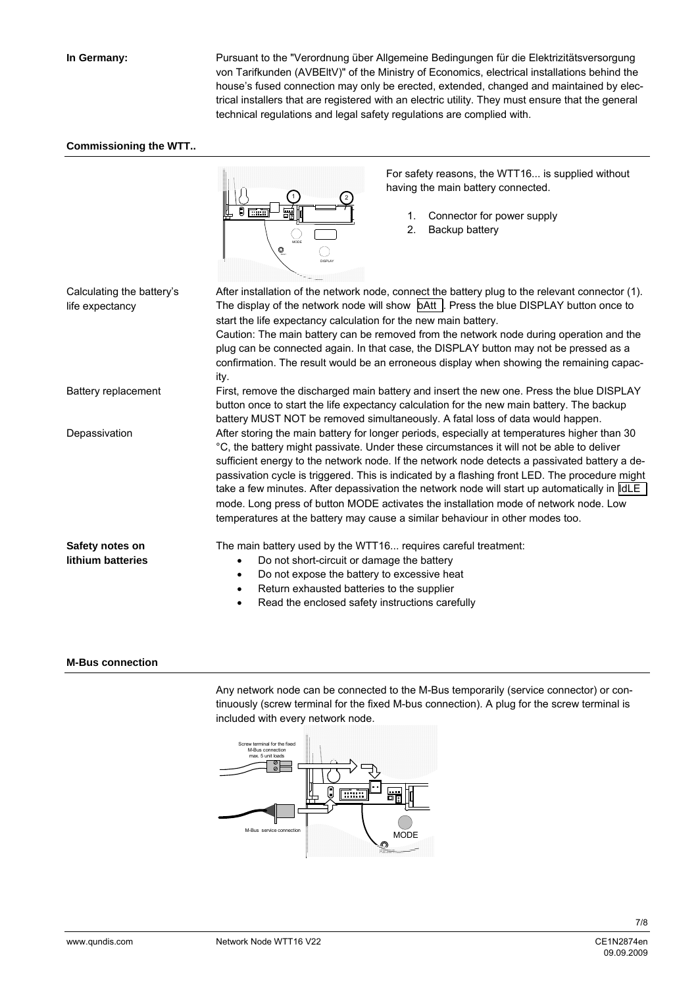Pursuant to the "Verordnung über Allgemeine Bedingungen für die Elektrizitätsversorgung von Tarifkunden (AVBEltV)" of the Ministry of Economics, electrical installations behind the house's fused connection may only be erected, extended, changed and maintained by electrical installers that are registered with an electric utility. They must ensure that the general technical regulations and legal safety regulations are complied with.

#### **Commissioning the WTT..**



For safety reasons, the WTT16... is supplied without having the main battery connected.

- 1. Connector for power supply
- 2. Backup battery

After installation of the network node, connect the battery plug to the relevant connector (1). The display of the network node will show **bAtt** . Press the blue DISPLAY button once to start the life expectancy calculation for the new main battery. Caution: The main battery can be removed from the network node during operation and the plug can be connected again. In that case, the DISPLAY button may not be pressed as a confirmation. The result would be an erroneous display when showing the remaining capacity. First, remove the discharged main battery and insert the new one. Press the blue DISPLAY button once to start the life expectancy calculation for the new main battery. The backup battery MUST NOT be removed simultaneously. A fatal loss of data would happen. After storing the main battery for longer periods, especially at temperatures higher than 30 °C, the battery might passivate. Under these circumstances it will not be able to deliver sufficient energy to the network node. If the network node detects a passivated battery a depassivation cycle is triggered. This is indicated by a flashing front LED. The procedure might take a few minutes. After depassivation the network node will start up automatically in  $\parallel$ dLE mode. Long press of button MODE activates the installation mode of network node. Low temperatures at the battery may cause a similar behaviour in other modes too. The main battery used by the WTT16... requires careful treatment: • Do not short-circuit or damage the battery Do not expose the battery to excessive heat • Return exhausted batteries to the supplier Read the enclosed safety instructions carefully Calculating the battery's life expectancy Battery replacement Depassivation **Safety notes on lithium batteries** 

#### **M-Bus connection**

Any network node can be connected to the M-Bus temporarily (service connector) or continuously (screw terminal for the fixed M-bus connection). A plug for the screw terminal is included with every network node.